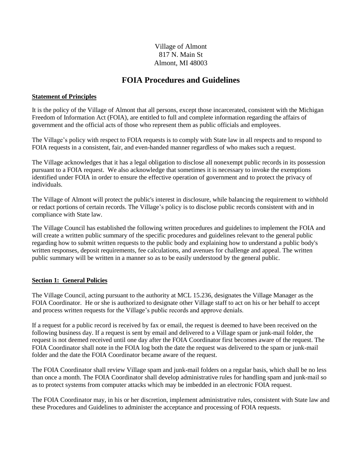## Village of Almont 817 N. Main St Almont, MI 48003

# **FOIA Procedures and Guidelines**

### **Statement of Principles**

It is the policy of the Village of Almont that all persons, except those incarcerated, consistent with the Michigan Freedom of Information Act (FOIA), are entitled to full and complete information regarding the affairs of government and the official acts of those who represent them as public officials and employees.

The Village's policy with respect to FOIA requests is to comply with State law in all respects and to respond to FOIA requests in a consistent, fair, and even-handed manner regardless of who makes such a request.

The Village acknowledges that it has a legal obligation to disclose all nonexempt public records in its possession pursuant to a FOIA request. We also acknowledge that sometimes it is necessary to invoke the exemptions identified under FOIA in order to ensure the effective operation of government and to protect the privacy of individuals.

The Village of Almont will protect the public's interest in disclosure, while balancing the requirement to withhold or redact portions of certain records. The Village's policy is to disclose public records consistent with and in compliance with State law.

The Village Council has established the following written procedures and guidelines to implement the FOIA and will create a written public summary of the specific procedures and guidelines relevant to the general public regarding how to submit written requests to the public body and explaining how to understand a public body's written responses, deposit requirements, fee calculations, and avenues for challenge and appeal. The written public summary will be written in a manner so as to be easily understood by the general public.

### **Section 1: General Policies**

The Village Council, acting pursuant to the authority at MCL 15.236, designates the Village Manager as the FOIA Coordinator. He or she is authorized to designate other Village staff to act on his or her behalf to accept and process written requests for the Village's public records and approve denials.

If a request for a public record is received by fax or email, the request is deemed to have been received on the following business day. If a request is sent by email and delivered to a Village spam or junk-mail folder, the request is not deemed received until one day after the FOIA Coordinator first becomes aware of the request. The FOIA Coordinator shall note in the FOIA log both the date the request was delivered to the spam or junk-mail folder and the date the FOIA Coordinator became aware of the request.

The FOIA Coordinator shall review Village spam and junk-mail folders on a regular basis, which shall be no less than once a month. The FOIA Coordinator shall develop administrative rules for handling spam and junk-mail so as to protect systems from computer attacks which may be imbedded in an electronic FOIA request.

The FOIA Coordinator may, in his or her discretion, implement administrative rules, consistent with State law and these Procedures and Guidelines to administer the acceptance and processing of FOIA requests.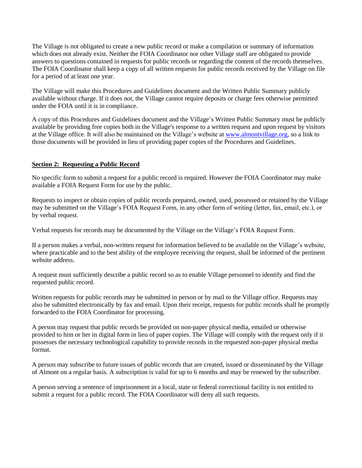The Village is not obligated to create a new public record or make a compilation or summary of information which does not already exist. Neither the FOIA Coordinator nor other Village staff are obligated to provide answers to questions contained in requests for public records or regarding the content of the records themselves. The FOIA Coordinator shall keep a copy of all written requests for public records received by the Village on file for a period of at least one year.

The Village will make this Procedures and Guidelines document and the Written Public Summary publicly available without charge. If it does not, the Village cannot require deposits or charge fees otherwise permitted under the FOIA until it is in compliance.

A copy of this Procedures and Guidelines document and the Village's Written Public Summary must be publicly available by providing free copies both in the Village's response to a written request and upon request by visitors at the Village office. It will also be maintained on the Village's website at [www.almontvillage.org,](http://www.almontvillage.org/) so a link to those documents will be provided in lieu of providing paper copies of the Procedures and Guidelines.

## **Section 2: Requesting a Public Record**

No specific form to submit a request for a public record is required. However the FOIA Coordinator may make available a FOIA Request Form for use by the public.

Requests to inspect or obtain copies of public records prepared, owned, used, possessed or retained by the Village may be submitted on the Village's FOIA Request Form, in any other form of writing (letter, fax, email, etc.), or by verbal request.

Verbal requests for records may be documented by the Village on the Village's FOIA Request Form.

If a person makes a verbal, non-written request for information believed to be available on the Village's website, where practicable and to the best ability of the employee receiving the request, shall be informed of the pertinent website address.

A request must sufficiently describe a public record so as to enable Village personnel to identify and find the requested public record.

Written requests for public records may be submitted in person or by mail to the Village office. Requests may also be submitted electronically by fax and email. Upon their receipt, requests for public records shall be promptly forwarded to the FOIA Coordinator for processing.

A person may request that public records be provided on non-paper physical media, emailed or otherwise provided to him or her in digital form in lieu of paper copies. The Village will comply with the request only if it possesses the necessary technological capability to provide records in the requested non-paper physical media format.

A person may subscribe to future issues of public records that are created, issued or disseminated by the Village of Almont on a regular basis. A subscription is valid for up to 6 months and may be renewed by the subscriber.

A person serving a sentence of imprisonment in a local, state or federal correctional facility is not entitled to submit a request for a public record. The FOIA Coordinator will deny all such requests.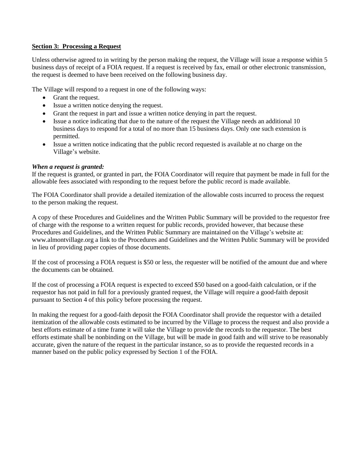### **Section 3: Processing a Request**

Unless otherwise agreed to in writing by the person making the request, the Village will issue a response within 5 business days of receipt of a FOIA request. If a request is received by fax, email or other electronic transmission, the request is deemed to have been received on the following business day.

The Village will respond to a request in one of the following ways:

- Grant the request.
- Issue a written notice denying the request.
- Grant the request in part and issue a written notice denying in part the request.
- Issue a notice indicating that due to the nature of the request the Village needs an additional 10 business days to respond for a total of no more than 15 business days. Only one such extension is permitted.
- Issue a written notice indicating that the public record requested is available at no charge on the Village's website.

## *When a request is granted:*

If the request is granted, or granted in part, the FOIA Coordinator will require that payment be made in full for the allowable fees associated with responding to the request before the public record is made available.

The FOIA Coordinator shall provide a detailed itemization of the allowable costs incurred to process the request to the person making the request.

A copy of these Procedures and Guidelines and the Written Public Summary will be provided to the requestor free of charge with the response to a written request for public records, provided however, that because these Procedures and Guidelines, and the Written Public Summary are maintained on the Village's website at: www.almontvillage.org a link to the Procedures and Guidelines and the Written Public Summary will be provided in lieu of providing paper copies of those documents.

If the cost of processing a FOIA request is \$50 or less, the requester will be notified of the amount due and where the documents can be obtained.

If the cost of processing a FOIA request is expected to exceed \$50 based on a good-faith calculation, or if the requestor has not paid in full for a previously granted request, the Village will require a good-faith deposit pursuant to Section 4 of this policy before processing the request.

In making the request for a good-faith deposit the FOIA Coordinator shall provide the requestor with a detailed itemization of the allowable costs estimated to be incurred by the Village to process the request and also provide a best efforts estimate of a time frame it will take the Village to provide the records to the requestor. The best efforts estimate shall be nonbinding on the Village, but will be made in good faith and will strive to be reasonably accurate, given the nature of the request in the particular instance, so as to provide the requested records in a manner based on the public policy expressed by Section 1 of the FOIA.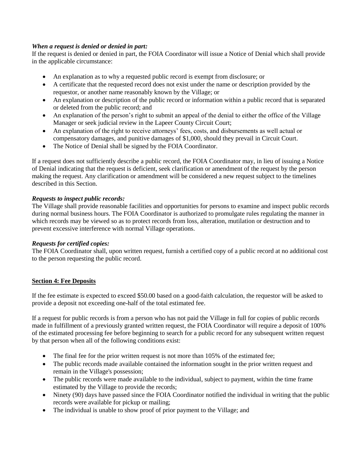## *When a request is denied or denied in part:*

If the request is denied or denied in part, the FOIA Coordinator will issue a Notice of Denial which shall provide in the applicable circumstance:

- An explanation as to why a requested public record is exempt from disclosure; or
- A certificate that the requested record does not exist under the name or description provided by the requestor, or another name reasonably known by the Village; or
- An explanation or description of the public record or information within a public record that is separated or deleted from the public record; and
- An explanation of the person's right to submit an appeal of the denial to either the office of the Village Manager or seek judicial review in the Lapeer County Circuit Court;
- An explanation of the right to receive attorneys' fees, costs, and disbursements as well actual or compensatory damages, and punitive damages of \$1,000, should they prevail in Circuit Court.
- The Notice of Denial shall be signed by the FOIA Coordinator.

If a request does not sufficiently describe a public record, the FOIA Coordinator may, in lieu of issuing a Notice of Denial indicating that the request is deficient, seek clarification or amendment of the request by the person making the request. Any clarification or amendment will be considered a new request subject to the timelines described in this Section.

## *Requests to inspect public records:*

The Village shall provide reasonable facilities and opportunities for persons to examine and inspect public records during normal business hours. The FOIA Coordinator is authorized to promulgate rules regulating the manner in which records may be viewed so as to protect records from loss, alteration, mutilation or destruction and to prevent excessive interference with normal Village operations.

### *Requests for certified copies:*

The FOIA Coordinator shall, upon written request, furnish a certified copy of a public record at no additional cost to the person requesting the public record.

## **Section 4: Fee Deposits**

If the fee estimate is expected to exceed \$50.00 based on a good-faith calculation, the requestor will be asked to provide a deposit not exceeding one-half of the total estimated fee.

If a request for public records is from a person who has not paid the Village in full for copies of public records made in fulfillment of a previously granted written request, the FOIA Coordinator will require a deposit of 100% of the estimated processing fee before beginning to search for a public record for any subsequent written request by that person when all of the following conditions exist:

- The final fee for the prior written request is not more than 105% of the estimated fee;
- The public records made available contained the information sought in the prior written request and remain in the Village's possession;
- The public records were made available to the individual, subject to payment, within the time frame estimated by the Village to provide the records;
- Ninety (90) days have passed since the FOIA Coordinator notified the individual in writing that the public records were available for pickup or mailing;
- The individual is unable to show proof of prior payment to the Village; and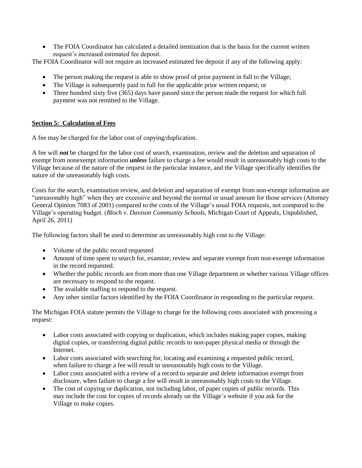• The FOIA Coordinator has calculated a detailed itemization that is the basis for the current written request's increased estimated fee deposit.

The FOIA Coordinator will not require an increased estimated fee deposit if any of the following apply:

- The person making the request is able to show proof of prior payment in full to the Village;
- The Village is subsequently paid in full for the applicable prior written request; or
- Three hundred sixty five (365) days have passed since the person made the request for which full payment was not remitted to the Village.

## **Section 5: Calculation of Fees**

A fee may be charged for the labor cost of copying/duplication.

A fee will *not* be charged for the labor cost of search, examination, review and the deletion and separation of exempt from nonexempt information *unless* failure to charge a fee would result in unreasonably high costs to the Village because of the nature of the request in the particular instance, and the Village specifically identifies the nature of the unreasonably high costs.

Costs for the search, examination review, and deletion and separation of exempt from non-exempt information are "unreasonably high" when they are excessive and beyond the normal or usual amount for those services (Attorney General Opinion 7083 of 2001) compared to the costs of the Village's usual FOIA requests, not compared to the Village's operating budget. (*Bloch v. Davison Community Schools*, Michigan Court of Appeals, Unpublished, April 26, 2011)

The following factors shall be used to determine an unreasonably high cost to the Village:

- Volume of the public record requested
- Amount of time spent to search for, examine, review and separate exempt from non-exempt information in the record requested.
- Whether the public records are from more than one Village department or whether various Village offices are necessary to respond to the request.
- The available staffing to respond to the request.
- Any other similar factors identified by the FOIA Coordinator in responding to the particular request.

The Michigan FOIA statute permits the Village to charge for the following costs associated with processing a request:

- Labor costs associated with copying or duplication, which includes making paper copies, making digital copies, or transferring digital public records to non-paper physical media or through the **Internet**
- Labor costs associated with searching for, locating and examining a requested public record, when failure to charge a fee will result in unreasonably high costs to the Village.
- Labor costs associated with a review of a record to separate and delete information exempt from disclosure, when failure to charge a fee will result in unreasonably high costs to the Village.
- The cost of copying or duplication, not including labor, of paper copies of public records. This may include the cost for copies of records already on the Village's website if you ask for the Village to make copies.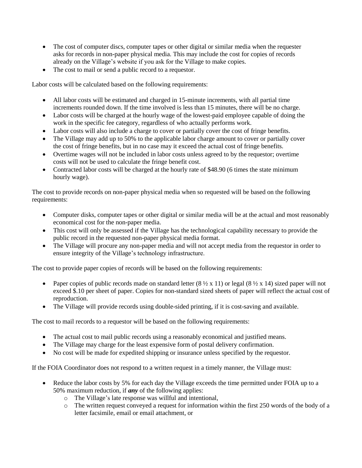- The cost of computer discs, computer tapes or other digital or similar media when the requester asks for records in non-paper physical media. This may include the cost for copies of records already on the Village's website if you ask for the Village to make copies.
- The cost to mail or send a public record to a requestor.

Labor costs will be calculated based on the following requirements:

- All labor costs will be estimated and charged in 15-minute increments, with all partial time increments rounded down. If the time involved is less than 15 minutes, there will be no charge.
- Labor costs will be charged at the hourly wage of the lowest-paid employee capable of doing the work in the specific fee category, regardless of who actually performs work.
- Labor costs will also include a charge to cover or partially cover the cost of fringe benefits.
- The Village may add up to 50% to the applicable labor charge amount to cover or partially cover the cost of fringe benefits, but in no case may it exceed the actual cost of fringe benefits.
- Overtime wages will not be included in labor costs unless agreed to by the requestor; overtime costs will not be used to calculate the fringe benefit cost.
- Contracted labor costs will be charged at the hourly rate of \$48.90 (6 times the state minimum hourly wage).

The cost to provide records on non-paper physical media when so requested will be based on the following requirements:

- Computer disks, computer tapes or other digital or similar media will be at the actual and most reasonably economical cost for the non-paper media.
- This cost will only be assessed if the Village has the technological capability necessary to provide the public record in the requested non-paper physical media format.
- The Village will procure any non-paper media and will not accept media from the requestor in order to ensure integrity of the Village's technology infrastructure.

The cost to provide paper copies of records will be based on the following requirements:

- Paper copies of public records made on standard letter  $(8 \frac{1}{2} \times 11)$  or legal  $(8 \frac{1}{2} \times 14)$  sized paper will not exceed \$.10 per sheet of paper. Copies for non-standard sized sheets of paper will reflect the actual cost of reproduction.
- The Village will provide records using double-sided printing, if it is cost-saving and available.

The cost to mail records to a requestor will be based on the following requirements:

- The actual cost to mail public records using a reasonably economical and justified means.
- The Village may charge for the least expensive form of postal delivery confirmation.
- No cost will be made for expedited shipping or insurance unless specified by the requestor.

If the FOIA Coordinator does not respond to a written request in a timely manner, the Village must:

- Reduce the labor costs by 5% for each day the Village exceeds the time permitted under FOIA up to a 50% maximum reduction, if *any* of the following applies:
	- o The Village's late response was willful and intentional,
	- $\circ$  The written request conveyed a request for information within the first 250 words of the body of a letter facsimile, email or email attachment, or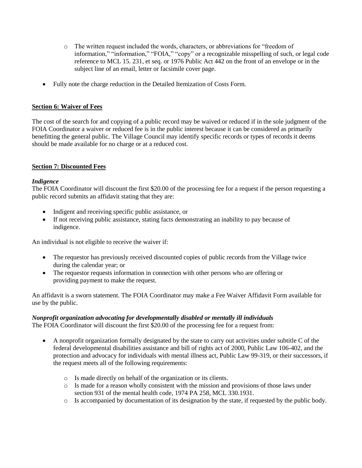- o The written request included the words, characters, or abbreviations for "freedom of information," "information," "FOIA," "copy" or a recognizable misspelling of such, or legal code reference to MCL 15. 231, et seq. or 1976 Public Act 442 on the front of an envelope or in the subject line of an email, letter or facsimile cover page.
- Fully note the charge reduction in the Detailed Itemization of Costs Form.

## **Section 6: Waiver of Fees**

The cost of the search for and copying of a public record may be waived or reduced if in the sole judgment of the FOIA Coordinator a waiver or reduced fee is in the public interest because it can be considered as primarily benefitting the general public. The Village Council may identify specific records or types of records it deems should be made available for no charge or at a reduced cost.

## **Section 7: Discounted Fees**

### *Indigence*

The FOIA Coordinator will discount the first \$20.00 of the processing fee for a request if the person requesting a public record submits an affidavit stating that they are:

- Indigent and receiving specific public assistance, or
- If not receiving public assistance, stating facts demonstrating an inability to pay because of indigence.

An individual is not eligible to receive the waiver if:

- The requestor has previously received discounted copies of public records from the Village twice during the calendar year; or
- The requestor requests information in connection with other persons who are offering or providing payment to make the request.

An affidavit is a sworn statement. The FOIA Coordinator may make a Fee Waiver Affidavit Form available for use by the public.

## *Nonprofit organization advocating for developmentally disabled or mentally ill individuals*

The FOIA Coordinator will discount the first \$20.00 of the processing fee for a request from:

- A nonprofit organization formally designated by the state to carry out activities under subtitle C of the federal developmental disabilities assistance and bill of rights act of 2000, Public Law 106-402, and the protection and advocacy for individuals with mental illness act, Public Law 99-319, or their successors, if the request meets all of the following requirements:
	- o Is made directly on behalf of the organization or its clients.
	- o Is made for a reason wholly consistent with the mission and provisions of those laws under section 931 of the mental health code, 1974 PA 258, MCL 330.1931.
	- o Is accompanied by documentation of its designation by the state, if requested by the public body.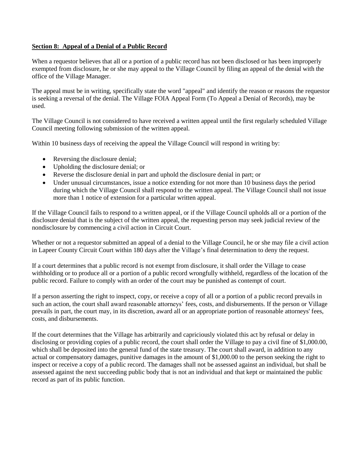### **Section 8: Appeal of a Denial of a Public Record**

When a requestor believes that all or a portion of a public record has not been disclosed or has been improperly exempted from disclosure, he or she may appeal to the Village Council by filing an appeal of the denial with the office of the Village Manager.

The appeal must be in writing, specifically state the word "appeal" and identify the reason or reasons the requestor is seeking a reversal of the denial. The Village FOIA Appeal Form (To Appeal a Denial of Records), may be used.

The Village Council is not considered to have received a written appeal until the first regularly scheduled Village Council meeting following submission of the written appeal.

Within 10 business days of receiving the appeal the Village Council will respond in writing by:

- Reversing the disclosure denial;
- Upholding the disclosure denial; or
- Reverse the disclosure denial in part and uphold the disclosure denial in part; or
- Under unusual circumstances, issue a notice extending for not more than 10 business days the period during which the Village Council shall respond to the written appeal. The Village Council shall not issue more than 1 notice of extension for a particular written appeal.

If the Village Council fails to respond to a written appeal, or if the Village Council upholds all or a portion of the disclosure denial that is the subject of the written appeal, the requesting person may seek judicial review of the nondisclosure by commencing a civil action in Circuit Court.

Whether or not a requestor submitted an appeal of a denial to the Village Council, he or she may file a civil action in Lapeer County Circuit Court within 180 days after the Village's final determination to deny the request.

If a court determines that a public record is not exempt from disclosure, it shall order the Village to cease withholding or to produce all or a portion of a public record wrongfully withheld, regardless of the location of the public record. Failure to comply with an order of the court may be punished as contempt of court.

If a person asserting the right to inspect, copy, or receive a copy of all or a portion of a public record prevails in such an action, the court shall award reasonable attorneys' fees, costs, and disbursements. If the person or Village prevails in part, the court may, in its discretion, award all or an appropriate portion of reasonable attorneys' fees, costs, and disbursements.

If the court determines that the Village has arbitrarily and capriciously violated this act by refusal or delay in disclosing or providing copies of a public record, the court shall order the Village to pay a civil fine of \$1,000.00, which shall be deposited into the general fund of the state treasury. The court shall award, in addition to any actual or compensatory damages, punitive damages in the amount of \$1,000.00 to the person seeking the right to inspect or receive a copy of a public record. The damages shall not be assessed against an individual, but shall be assessed against the next succeeding public body that is not an individual and that kept or maintained the public record as part of its public function.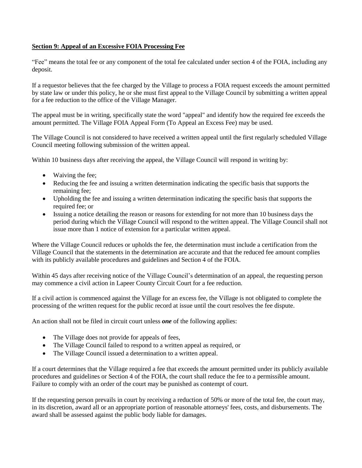## **Section 9: Appeal of an Excessive FOIA Processing Fee**

"Fee" means the total fee or any component of the total fee calculated under section 4 of the FOIA, including any deposit.

If a requestor believes that the fee charged by the Village to process a FOIA request exceeds the amount permitted by state law or under this policy, he or she must first appeal to the Village Council by submitting a written appeal for a fee reduction to the office of the Village Manager.

The appeal must be in writing, specifically state the word "appeal" and identify how the required fee exceeds the amount permitted. The Village FOIA Appeal Form (To Appeal an Excess Fee) may be used.

The Village Council is not considered to have received a written appeal until the first regularly scheduled Village Council meeting following submission of the written appeal.

Within 10 business days after receiving the appeal, the Village Council will respond in writing by:

- Waiving the fee;
- Reducing the fee and issuing a written determination indicating the specific basis that supports the remaining fee;
- Upholding the fee and issuing a written determination indicating the specific basis that supports the required fee: or
- Issuing a notice detailing the reason or reasons for extending for not more than 10 business days the period during which the Village Council will respond to the written appeal. The Village Council shall not issue more than 1 notice of extension for a particular written appeal.

Where the Village Council reduces or upholds the fee, the determination must include a certification from the Village Council that the statements in the determination are accurate and that the reduced fee amount complies with its publicly available procedures and guidelines and Section 4 of the FOIA.

Within 45 days after receiving notice of the Village Council's determination of an appeal, the requesting person may commence a civil action in Lapeer County Circuit Court for a fee reduction.

If a civil action is commenced against the Village for an excess fee, the Village is not obligated to complete the processing of the written request for the public record at issue until the court resolves the fee dispute.

An action shall not be filed in circuit court unless *one* of the following applies:

- The Village does not provide for appeals of fees,
- The Village Council failed to respond to a written appeal as required, or
- The Village Council issued a determination to a written appeal.

If a court determines that the Village required a fee that exceeds the amount permitted under its publicly available procedures and guidelines or Section 4 of the FOIA, the court shall reduce the fee to a permissible amount. Failure to comply with an order of the court may be punished as contempt of court.

If the requesting person prevails in court by receiving a reduction of 50% or more of the total fee, the court may, in its discretion, award all or an appropriate portion of reasonable attorneys' fees, costs, and disbursements. The award shall be assessed against the public body liable for damages.